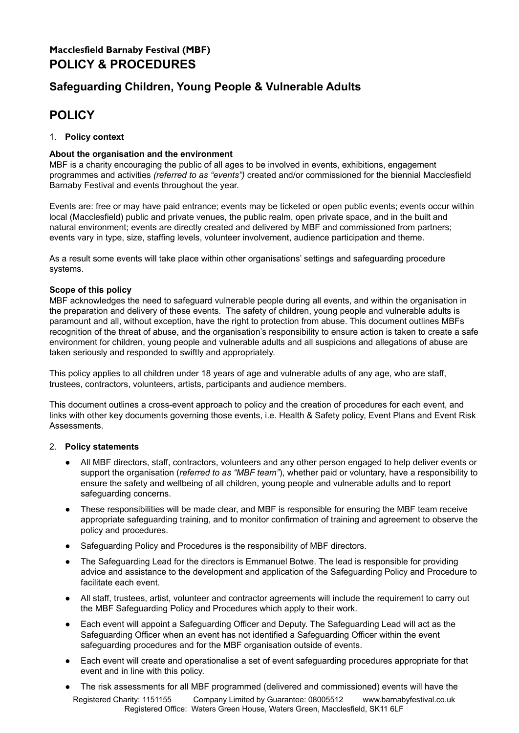# **Macclesfield Barnaby Festival (MBF) POLICY & PROCEDURES**

# **Safeguarding Children, Young People & Vulnerable Adults**

# **POLICY**

# 1. **Policy context**

# **About the organisation and the environment**

MBF is a charity encouraging the public of all ages to be involved in events, exhibitions, engagement programmes and activities *(referred to as "events")* created and/or commissioned for the biennial Macclesfield Barnaby Festival and events throughout the year.

Events are: free or may have paid entrance; events may be ticketed or open public events; events occur within local (Macclesfield) public and private venues, the public realm, open private space, and in the built and natural environment; events are directly created and delivered by MBF and commissioned from partners; events vary in type, size, staffing levels, volunteer involvement, audience participation and theme.

As a result some events will take place within other organisations' settings and safeguarding procedure systems.

## **Scope of this policy**

MBF acknowledges the need to safeguard vulnerable people during all events, and within the organisation in the preparation and delivery of these events. The safety of children, young people and vulnerable adults is paramount and all, without exception, have the right to protection from abuse. This document outlines MBFs recognition of the threat of abuse, and the organisation's responsibility to ensure action is taken to create a safe environment for children, young people and vulnerable adults and all suspicions and allegations of abuse are taken seriously and responded to swiftly and appropriately.

This policy applies to all children under 18 years of age and vulnerable adults of any age, who are staff, trustees, contractors, volunteers, artists, participants and audience members.

This document outlines a cross-event approach to policy and the creation of procedures for each event, and links with other key documents governing those events, i.e. Health & Safety policy, Event Plans and Event Risk **Assessments** 

## 2. **Policy statements**

- All MBF directors, staff, contractors, volunteers and any other person engaged to help deliver events or support the organisation (*referred to as "MBF team"*), whether paid or voluntary, have a responsibility to ensure the safety and wellbeing of all children, young people and vulnerable adults and to report safeguarding concerns.
- These responsibilities will be made clear, and MBF is responsible for ensuring the MBF team receive appropriate safeguarding training, and to monitor confirmation of training and agreement to observe the policy and procedures.
- Safeguarding Policy and Procedures is the responsibility of MBF directors.
- The Safeguarding Lead for the directors is Emmanuel Botwe. The lead is responsible for providing advice and assistance to the development and application of the Safeguarding Policy and Procedure to facilitate each event.
- All staff, trustees, artist, volunteer and contractor agreements will include the requirement to carry out the MBF Safeguarding Policy and Procedures which apply to their work.
- Each event will appoint a Safeguarding Officer and Deputy. The Safeguarding Lead will act as the Safeguarding Officer when an event has not identified a Safeguarding Officer within the event safeguarding procedures and for the MBF organisation outside of events.
- Each event will create and operationalise a set of event safeguarding procedures appropriate for that event and in line with this policy.
- The risk assessments for all MBF programmed (delivered and commissioned) events will have the Registered Charity: 1151155 Company Limited by Guarantee: 08005512 www.barnabyfestival.co.uk Registered Office: Waters Green House, Waters Green, Macclesfield, SK11 6LF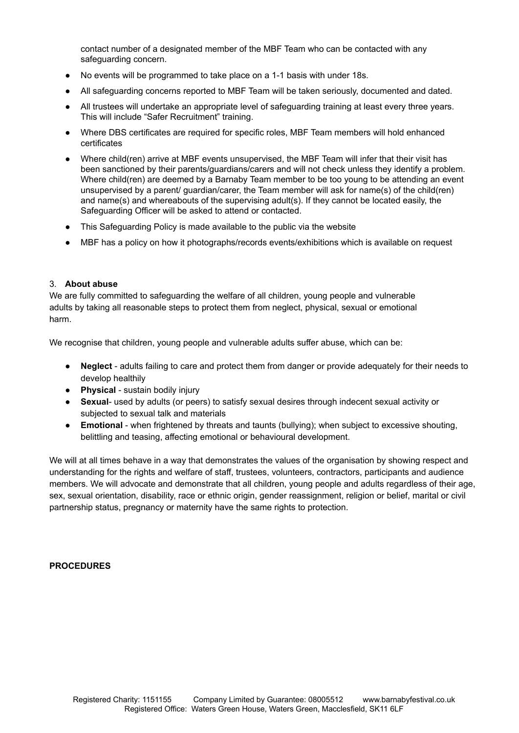contact number of a designated member of the MBF Team who can be contacted with any safeguarding concern.

- No events will be programmed to take place on a 1-1 basis with under 18s.
- All safeguarding concerns reported to MBF Team will be taken seriously, documented and dated.
- All trustees will undertake an appropriate level of safeguarding training at least every three years. This will include "Safer Recruitment" training.
- Where DBS certificates are required for specific roles, MBF Team members will hold enhanced certificates
- Where child(ren) arrive at MBF events unsupervised, the MBF Team will infer that their visit has been sanctioned by their parents/guardians/carers and will not check unless they identify a problem. Where child(ren) are deemed by a Barnaby Team member to be too young to be attending an event unsupervised by a parent/ guardian/carer, the Team member will ask for name(s) of the child(ren) and name(s) and whereabouts of the supervising adult(s). If they cannot be located easily, the Safeguarding Officer will be asked to attend or contacted.
- This Safeguarding Policy is made available to the public via the website
- MBF has a policy on how it photographs/records events/exhibitions which is available on request

#### 3. **About abuse**

We are fully committed to safeguarding the welfare of all children, young people and vulnerable adults by taking all reasonable steps to protect them from neglect, physical, sexual or emotional harm.

We recognise that children, young people and vulnerable adults suffer abuse, which can be:

- **Neglect** adults failing to care and protect them from danger or provide adequately for their needs to develop healthily
- **Physical** sustain bodily injury
- **Sexual** used by adults (or peers) to satisfy sexual desires through indecent sexual activity or subjected to sexual talk and materials
- **Emotional** when frightened by threats and taunts (bullying); when subject to excessive shouting, belittling and teasing, affecting emotional or behavioural development.

We will at all times behave in a way that demonstrates the values of the organisation by showing respect and understanding for the rights and welfare of staff, trustees, volunteers, contractors, participants and audience members. We will advocate and demonstrate that all children, young people and adults regardless of their age, sex, sexual orientation, disability, race or ethnic origin, gender reassignment, religion or belief, marital or civil partnership status, pregnancy or maternity have the same rights to protection.

#### **PROCEDURES**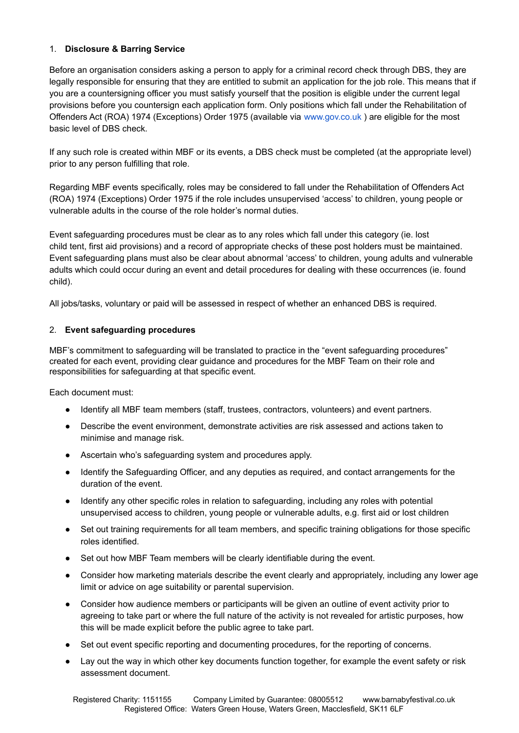# 1. **Disclosure & Barring Service**

Before an organisation considers asking a person to apply for a criminal record check through DBS, they are legally responsible for ensuring that they are entitled to submit an application for the job role. This means that if you are a countersigning officer you must satisfy yourself that the position is eligible under the current legal provisions before you countersign each application form. Only positions which fall under the Rehabilitation of Offenders Act (ROA) 1974 (Exceptions) Order 1975 (available via www.gov.co.uk ) are eligible for the most basic level of DBS check.

If any such role is created within MBF or its events, a DBS check must be completed (at the appropriate level) prior to any person fulfilling that role.

Regarding MBF events specifically, roles may be considered to fall under the Rehabilitation of Offenders Act (ROA) 1974 (Exceptions) Order 1975 if the role includes unsupervised 'access' to children, young people or vulnerable adults in the course of the role holder's normal duties.

Event safeguarding procedures must be clear as to any roles which fall under this category (ie. lost child tent, first aid provisions) and a record of appropriate checks of these post holders must be maintained. Event safeguarding plans must also be clear about abnormal 'access' to children, young adults and vulnerable adults which could occur during an event and detail procedures for dealing with these occurrences (ie. found child).

All jobs/tasks, voluntary or paid will be assessed in respect of whether an enhanced DBS is required.

## 2. **Event safeguarding procedures**

MBF's commitment to safeguarding will be translated to practice in the "event safeguarding procedures" created for each event, providing clear guidance and procedures for the MBF Team on their role and responsibilities for safeguarding at that specific event.

Each document must:

- Identify all MBF team members (staff, trustees, contractors, volunteers) and event partners.
- Describe the event environment, demonstrate activities are risk assessed and actions taken to minimise and manage risk.
- Ascertain who's safeguarding system and procedures apply.
- Identify the Safeguarding Officer, and any deputies as required, and contact arrangements for the duration of the event.
- Identify any other specific roles in relation to safeguarding, including any roles with potential unsupervised access to children, young people or vulnerable adults, e.g. first aid or lost children
- Set out training requirements for all team members, and specific training obligations for those specific roles identified.
- Set out how MBF Team members will be clearly identifiable during the event.
- Consider how marketing materials describe the event clearly and appropriately, including any lower age limit or advice on age suitability or parental supervision.
- Consider how audience members or participants will be given an outline of event activity prior to agreeing to take part or where the full nature of the activity is not revealed for artistic purposes, how this will be made explicit before the public agree to take part.
- Set out event specific reporting and documenting procedures, for the reporting of concerns.
- Lay out the way in which other key documents function together, for example the event safety or risk assessment document.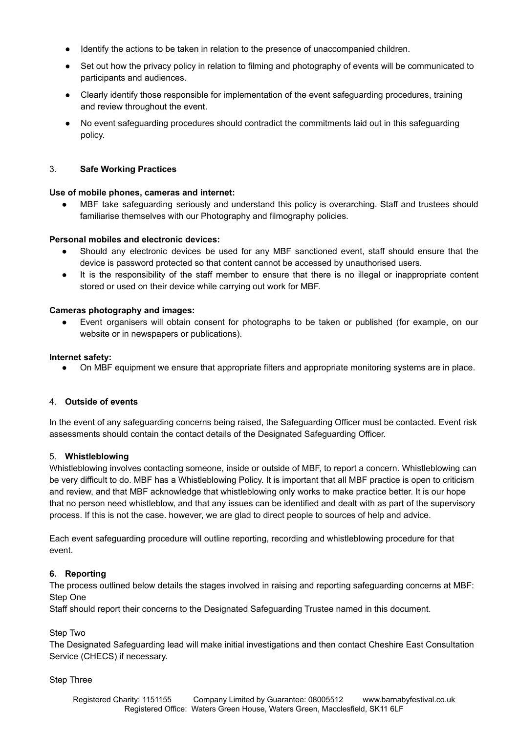- Identify the actions to be taken in relation to the presence of unaccompanied children.
- Set out how the privacy policy in relation to filming and photography of events will be communicated to participants and audiences.
- Clearly identify those responsible for implementation of the event safeguarding procedures, training and review throughout the event.
- No event safeguarding procedures should contradict the commitments laid out in this safeguarding policy.

## 3. **Safe Working Practices**

#### **Use of mobile phones, cameras and internet:**

MBF take safeguarding seriously and understand this policy is overarching. Staff and trustees should familiarise themselves with our Photography and filmography policies.

#### **Personal mobiles and electronic devices:**

- Should any electronic devices be used for any MBF sanctioned event, staff should ensure that the device is password protected so that content cannot be accessed by unauthorised users.
- It is the responsibility of the staff member to ensure that there is no illegal or inappropriate content stored or used on their device while carrying out work for MBF.

#### **Cameras photography and images:**

Event organisers will obtain consent for photographs to be taken or published (for example, on our website or in newspapers or publications).

#### **Internet safety:**

On MBF equipment we ensure that appropriate filters and appropriate monitoring systems are in place.

## 4. **Outside of events**

In the event of any safeguarding concerns being raised, the Safeguarding Officer must be contacted. Event risk assessments should contain the contact details of the Designated Safeguarding Officer.

#### 5. **Whistleblowing**

Whistleblowing involves contacting someone, inside or outside of MBF, to report a concern. Whistleblowing can be very difficult to do. MBF has a Whistleblowing Policy. It is important that all MBF practice is open to criticism and review, and that MBF acknowledge that whistleblowing only works to make practice better. It is our hope that no person need whistleblow, and that any issues can be identified and dealt with as part of the supervisory process. If this is not the case. however, we are glad to direct people to sources of help and advice.

Each event safeguarding procedure will outline reporting, recording and whistleblowing procedure for that event.

## **6. Reporting**

The process outlined below details the stages involved in raising and reporting safeguarding concerns at MBF: Step One

Staff should report their concerns to the Designated Safeguarding Trustee named in this document.

#### Step Two

The Designated Safeguarding lead will make initial investigations and then contact Cheshire East Consultation Service (CHECS) if necessary.

#### Step Three